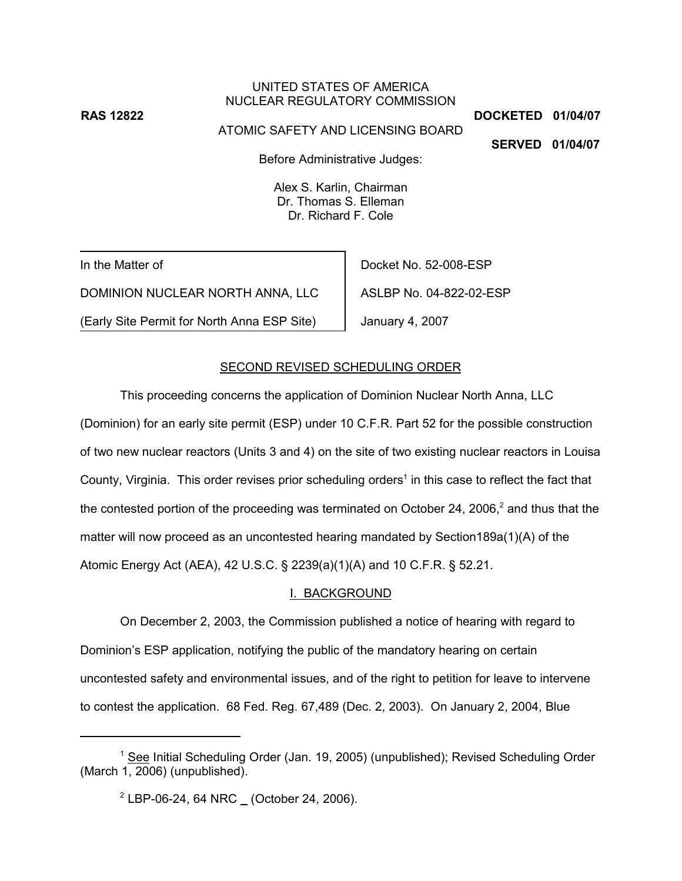# UNITED STATES OF AMERICA NUCLEAR REGULATORY COMMISSION

ATOMIC SAFETY AND LICENSING BOARD

**RAS 12822 DOCKETED 01/04/07**

**SERVED 01/04/07**

Before Administrative Judges:

Alex S. Karlin, Chairman Dr. Thomas S. Elleman Dr. Richard F. Cole

In the Matter of

DOMINION NUCLEAR NORTH ANNA, LLC

(Early Site Permit for North Anna ESP Site)

Docket No. 52-008-ESP ASLBP No. 04-822-02-ESP January 4, 2007

## SECOND REVISED SCHEDULING ORDER

This proceeding concerns the application of Dominion Nuclear North Anna, LLC (Dominion) for an early site permit (ESP) under 10 C.F.R. Part 52 for the possible construction of two new nuclear reactors (Units 3 and 4) on the site of two existing nuclear reactors in Louisa County, Virginia. This order revises prior scheduling orders<sup>1</sup> in this case to reflect the fact that the contested portion of the proceeding was terminated on October 24, 2006,<sup>2</sup> and thus that the matter will now proceed as an uncontested hearing mandated by Section189a(1)(A) of the Atomic Energy Act (AEA), 42 U.S.C. § 2239(a)(1)(A) and 10 C.F.R. § 52.21.

# I. BACKGROUND

On December 2, 2003, the Commission published a notice of hearing with regard to Dominion's ESP application, notifying the public of the mandatory hearing on certain uncontested safety and environmental issues, and of the right to petition for leave to intervene to contest the application. 68 Fed. Reg. 67,489 (Dec. 2, 2003). On January 2, 2004, Blue

<sup>&</sup>lt;sup>1</sup> See Initial Scheduling Order (Jan. 19, 2005) (unpublished); Revised Scheduling Order (March 1, 2006) (unpublished).

 $2$  LBP-06-24, 64 NRC  $\_$  (October 24, 2006).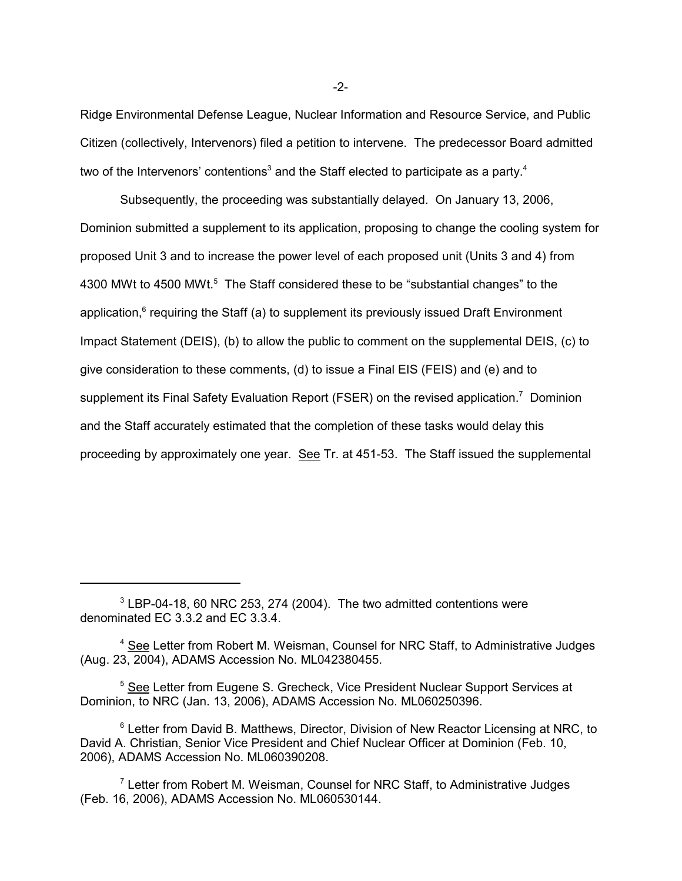Ridge Environmental Defense League, Nuclear Information and Resource Service, and Public Citizen (collectively, Intervenors) filed a petition to intervene. The predecessor Board admitted two of the Intervenors' contentions<sup>3</sup> and the Staff elected to participate as a party.<sup>4</sup>

Subsequently, the proceeding was substantially delayed. On January 13, 2006, Dominion submitted a supplement to its application, proposing to change the cooling system for proposed Unit 3 and to increase the power level of each proposed unit (Units 3 and 4) from 4300 MWt to 4500 MWt.<sup>5</sup> The Staff considered these to be "substantial changes" to the application,<sup>6</sup> requiring the Staff (a) to supplement its previously issued Draft Environment Impact Statement (DEIS), (b) to allow the public to comment on the supplemental DEIS, (c) to give consideration to these comments, (d) to issue a Final EIS (FEIS) and (e) and to supplement its Final Safety Evaluation Report (FSER) on the revised application.<sup>7</sup> Dominion and the Staff accurately estimated that the completion of these tasks would delay this proceeding by approximately one year. See Tr. at 451-53. The Staff issued the supplemental

-2-

 $3$  LBP-04-18, 60 NRC 253, 274 (2004). The two admitted contentions were denominated EC 3.3.2 and EC 3.3.4.

<sup>&</sup>lt;sup>4</sup> See Letter from Robert M. Weisman, Counsel for NRC Staff, to Administrative Judges (Aug. 23, 2004), ADAMS Accession No. ML042380455.

<sup>&</sup>lt;sup>5</sup> See Letter from Eugene S. Grecheck, Vice President Nuclear Support Services at Dominion, to NRC (Jan. 13, 2006), ADAMS Accession No. ML060250396.

<sup>&</sup>lt;sup>6</sup> Letter from David B. Matthews, Director, Division of New Reactor Licensing at NRC, to David A. Christian, Senior Vice President and Chief Nuclear Officer at Dominion (Feb. 10, 2006), ADAMS Accession No. ML060390208.

 $7$  Letter from Robert M. Weisman, Counsel for NRC Staff, to Administrative Judges (Feb. 16, 2006), ADAMS Accession No. ML060530144.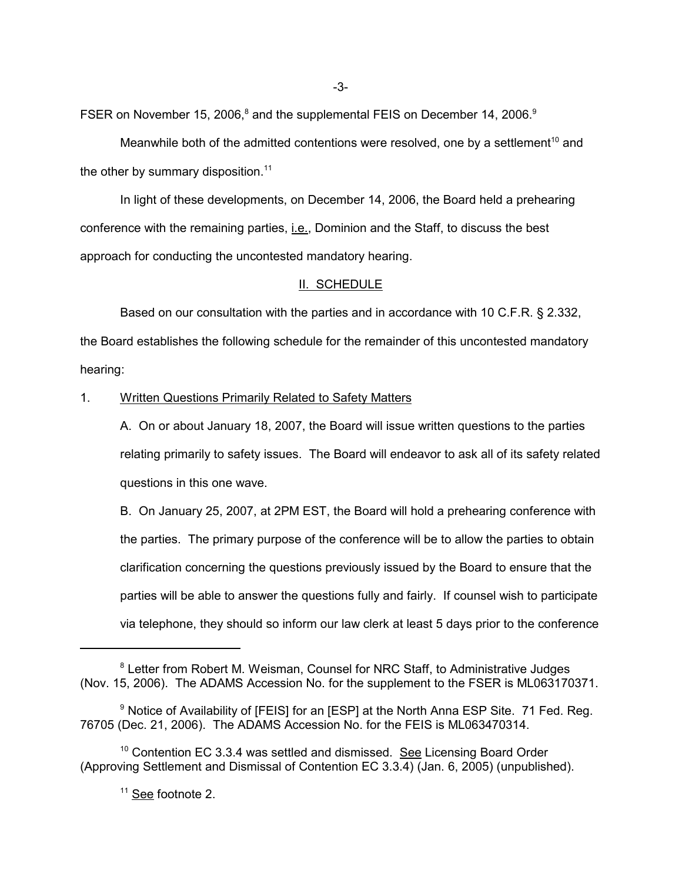FSER on November 15, 2006,<sup>8</sup> and the supplemental FEIS on December 14, 2006.<sup>9</sup>

Meanwhile both of the admitted contentions were resolved, one by a settlement<sup>10</sup> and the other by summary disposition. $11$ 

In light of these developments, on December 14, 2006, the Board held a prehearing conference with the remaining parties, i.e., Dominion and the Staff, to discuss the best approach for conducting the uncontested mandatory hearing.

#### II. SCHEDULE

Based on our consultation with the parties and in accordance with 10 C.F.R. § 2.332, the Board establishes the following schedule for the remainder of this uncontested mandatory hearing:

1. Written Questions Primarily Related to Safety Matters

A. On or about January 18, 2007, the Board will issue written questions to the parties relating primarily to safety issues. The Board will endeavor to ask all of its safety related questions in this one wave.

B. On January 25, 2007, at 2PM EST, the Board will hold a prehearing conference with the parties. The primary purpose of the conference will be to allow the parties to obtain clarification concerning the questions previously issued by the Board to ensure that the parties will be able to answer the questions fully and fairly. If counsel wish to participate via telephone, they should so inform our law clerk at least 5 days prior to the conference

<sup>&</sup>lt;sup>8</sup> Letter from Robert M. Weisman, Counsel for NRC Staff, to Administrative Judges (Nov. 15, 2006). The ADAMS Accession No. for the supplement to the FSER is ML063170371.

<sup>&</sup>lt;sup>9</sup> Notice of Availability of [FEIS] for an [ESP] at the North Anna ESP Site. 71 Fed. Reg. 76705 (Dec. 21, 2006). The ADAMS Accession No. for the FEIS is ML063470314.

 $10$  Contention EC 3.3.4 was settled and dismissed. See Licensing Board Order (Approving Settlement and Dismissal of Contention EC 3.3.4) (Jan. 6, 2005) (unpublished).

<sup>&</sup>lt;sup>11</sup> See footnote 2.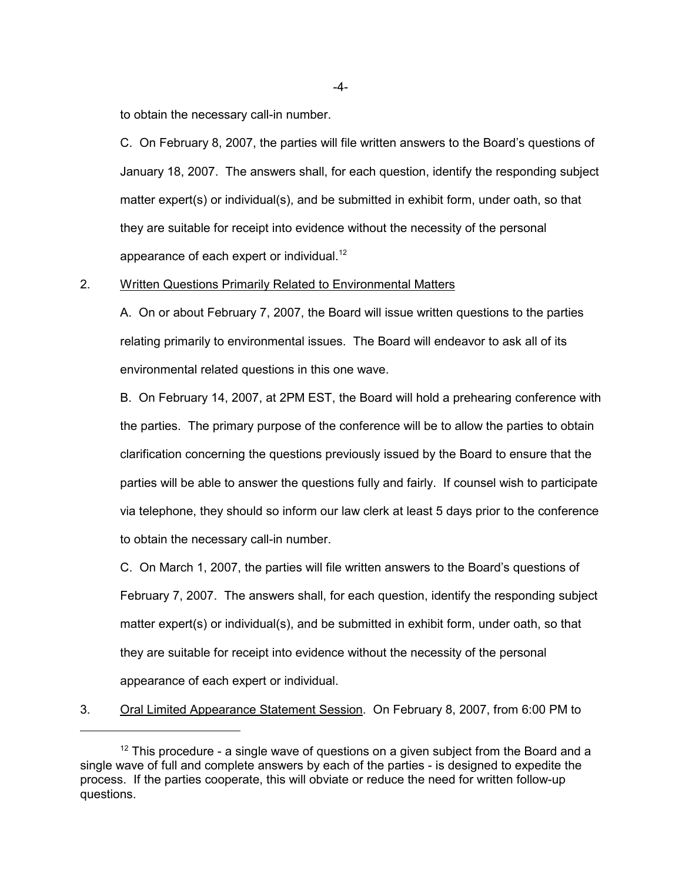to obtain the necessary call-in number.

C. On February 8, 2007, the parties will file written answers to the Board's questions of January 18, 2007. The answers shall, for each question, identify the responding subject matter expert(s) or individual(s), and be submitted in exhibit form, under oath, so that they are suitable for receipt into evidence without the necessity of the personal appearance of each expert or individual.<sup>12</sup>

#### 2. Written Questions Primarily Related to Environmental Matters

A. On or about February 7, 2007, the Board will issue written questions to the parties relating primarily to environmental issues. The Board will endeavor to ask all of its environmental related questions in this one wave.

B. On February 14, 2007, at 2PM EST, the Board will hold a prehearing conference with the parties. The primary purpose of the conference will be to allow the parties to obtain clarification concerning the questions previously issued by the Board to ensure that the parties will be able to answer the questions fully and fairly. If counsel wish to participate via telephone, they should so inform our law clerk at least 5 days prior to the conference to obtain the necessary call-in number.

C. On March 1, 2007, the parties will file written answers to the Board's questions of February 7, 2007. The answers shall, for each question, identify the responding subject matter expert(s) or individual(s), and be submitted in exhibit form, under oath, so that they are suitable for receipt into evidence without the necessity of the personal appearance of each expert or individual.

3. Oral Limited Appearance Statement Session. On February 8, 2007, from 6:00 PM to

-4-

 $12$  This procedure - a single wave of questions on a given subject from the Board and a single wave of full and complete answers by each of the parties - is designed to expedite the process. If the parties cooperate, this will obviate or reduce the need for written follow-up questions.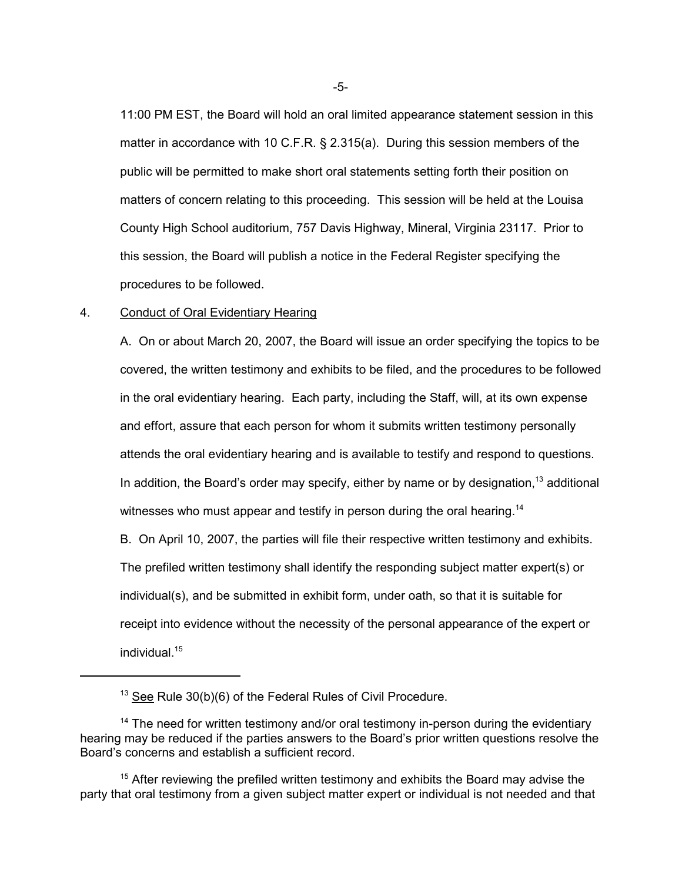11:00 PM EST, the Board will hold an oral limited appearance statement session in this matter in accordance with 10 C.F.R. § 2.315(a). During this session members of the public will be permitted to make short oral statements setting forth their position on matters of concern relating to this proceeding. This session will be held at the Louisa County High School auditorium, 757 Davis Highway, Mineral, Virginia 23117. Prior to this session, the Board will publish a notice in the Federal Register specifying the procedures to be followed.

### 4. Conduct of Oral Evidentiary Hearing

A. On or about March 20, 2007, the Board will issue an order specifying the topics to be covered, the written testimony and exhibits to be filed, and the procedures to be followed in the oral evidentiary hearing. Each party, including the Staff, will, at its own expense and effort, assure that each person for whom it submits written testimony personally attends the oral evidentiary hearing and is available to testify and respond to questions. In addition, the Board's order may specify, either by name or by designation,  $13$  additional witnesses who must appear and testify in person during the oral hearing.<sup>14</sup>

B. On April 10, 2007, the parties will file their respective written testimony and exhibits. The prefiled written testimony shall identify the responding subject matter expert(s) or individual(s), and be submitted in exhibit form, under oath, so that it is suitable for receipt into evidence without the necessity of the personal appearance of the expert or individual.15

 $13$  See Rule 30(b)(6) of the Federal Rules of Civil Procedure.

 $14$  The need for written testimony and/or oral testimony in-person during the evidentiary hearing may be reduced if the parties answers to the Board's prior written questions resolve the Board's concerns and establish a sufficient record.

 $15$  After reviewing the prefiled written testimony and exhibits the Board may advise the party that oral testimony from a given subject matter expert or individual is not needed and that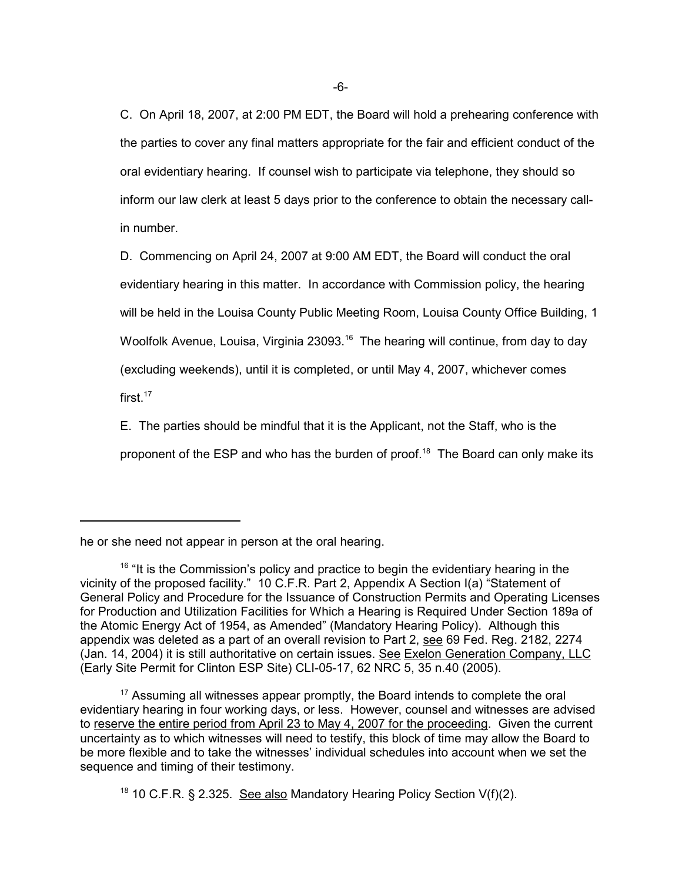C. On April 18, 2007, at 2:00 PM EDT, the Board will hold a prehearing conference with the parties to cover any final matters appropriate for the fair and efficient conduct of the oral evidentiary hearing. If counsel wish to participate via telephone, they should so inform our law clerk at least 5 days prior to the conference to obtain the necessary callin number.

D. Commencing on April 24, 2007 at 9:00 AM EDT, the Board will conduct the oral evidentiary hearing in this matter. In accordance with Commission policy, the hearing will be held in the Louisa County Public Meeting Room, Louisa County Office Building, 1 Woolfolk Avenue, Louisa, Virginia 23093.<sup>16</sup> The hearing will continue, from day to day (excluding weekends), until it is completed, or until May 4, 2007, whichever comes first.<sup>17</sup>

E. The parties should be mindful that it is the Applicant, not the Staff, who is the proponent of the ESP and who has the burden of proof.<sup>18</sup> The Board can only make its

he or she need not appear in person at the oral hearing.

 $16$  "It is the Commission's policy and practice to begin the evidentiary hearing in the vicinity of the proposed facility." 10 C.F.R. Part 2, Appendix A Section I(a) "Statement of General Policy and Procedure for the Issuance of Construction Permits and Operating Licenses for Production and Utilization Facilities for Which a Hearing is Required Under Section 189a of the Atomic Energy Act of 1954, as Amended" (Mandatory Hearing Policy). Although this appendix was deleted as a part of an overall revision to Part 2, see 69 Fed. Reg. 2182, 2274 (Jan. 14, 2004) it is still authoritative on certain issues. See Exelon Generation Company, LLC (Early Site Permit for Clinton ESP Site) CLI-05-17, 62 NRC 5, 35 n.40 (2005).

 $17$  Assuming all witnesses appear promptly, the Board intends to complete the oral evidentiary hearing in four working days, or less. However, counsel and witnesses are advised to reserve the entire period from April 23 to May 4, 2007 for the proceeding. Given the current uncertainty as to which witnesses will need to testify, this block of time may allow the Board to be more flexible and to take the witnesses' individual schedules into account when we set the sequence and timing of their testimony.

<sup>&</sup>lt;sup>18</sup> 10 C.F.R. § 2.325. See also Mandatory Hearing Policy Section V(f)(2).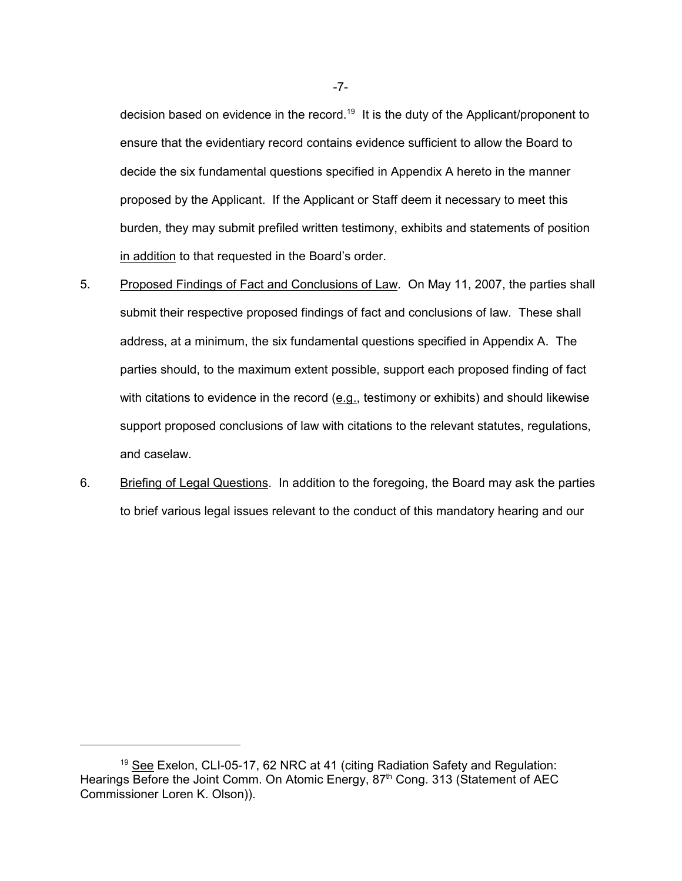decision based on evidence in the record.<sup>19</sup> It is the duty of the Applicant/proponent to ensure that the evidentiary record contains evidence sufficient to allow the Board to decide the six fundamental questions specified in Appendix A hereto in the manner proposed by the Applicant. If the Applicant or Staff deem it necessary to meet this burden, they may submit prefiled written testimony, exhibits and statements of position in addition to that requested in the Board's order.

- 5. Proposed Findings of Fact and Conclusions of Law. On May 11, 2007, the parties shall submit their respective proposed findings of fact and conclusions of law. These shall address, at a minimum, the six fundamental questions specified in Appendix A. The parties should, to the maximum extent possible, support each proposed finding of fact with citations to evidence in the record  $(e.g.,$  testimony or exhibits) and should likewise support proposed conclusions of law with citations to the relevant statutes, regulations, and caselaw.
- 6. Briefing of Legal Questions. In addition to the foregoing, the Board may ask the parties to brief various legal issues relevant to the conduct of this mandatory hearing and our

-7-

<sup>&</sup>lt;sup>19</sup> See Exelon, CLI-05-17, 62 NRC at 41 (citing Radiation Safety and Regulation: Hearings Before the Joint Comm. On Atomic Energy, 87<sup>th</sup> Cong. 313 (Statement of AEC Commissioner Loren K. Olson)).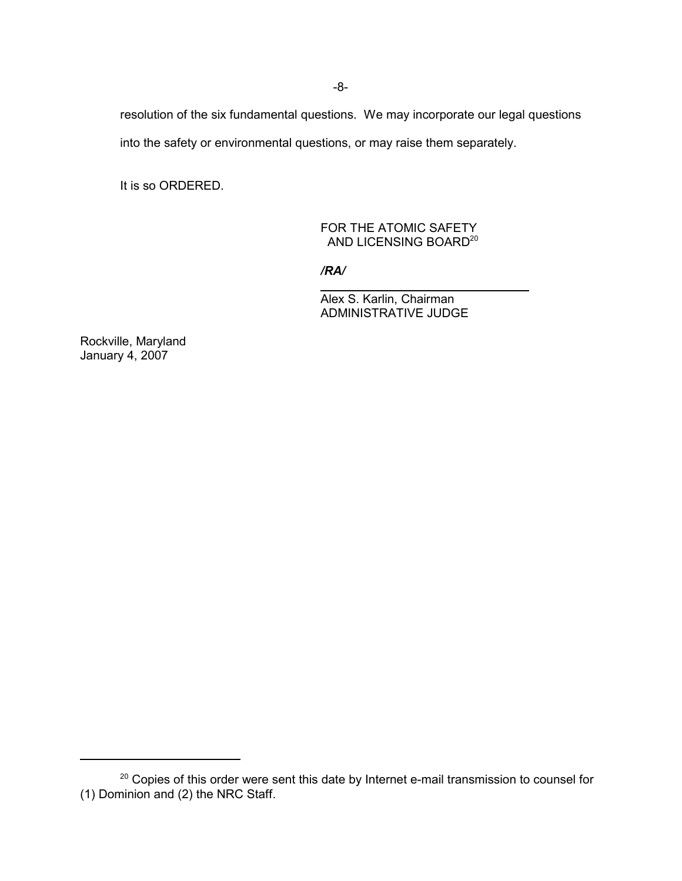resolution of the six fundamental questions. We may incorporate our legal questions

into the safety or environmental questions, or may raise them separately.

It is so ORDERED.

### FOR THE ATOMIC SAFETY AND LICENSING BOARD<sup>20</sup>

*/RA/*

 $\overline{\phantom{a}}$ 

Alex S. Karlin, Chairman ADMINISTRATIVE JUDGE

Rockville, Maryland January 4, 2007

<sup>&</sup>lt;sup>20</sup> Copies of this order were sent this date by Internet e-mail transmission to counsel for (1) Dominion and (2) the NRC Staff.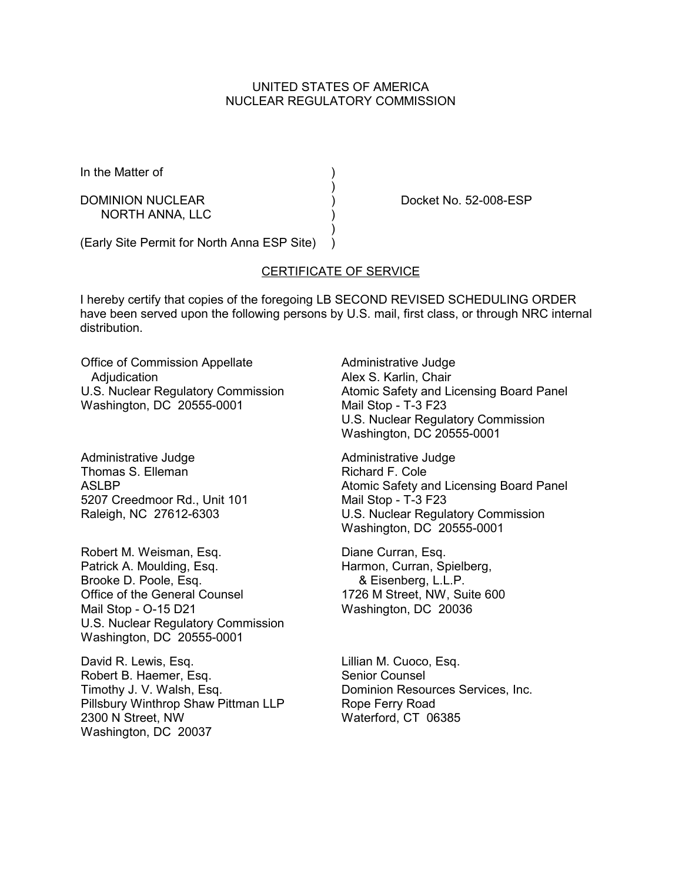## UNITED STATES OF AMERICA NUCLEAR REGULATORY COMMISSION

In the Matter of (1)

NORTH ANNA, LLC )

DOMINION NUCLEAR (DOMINION NUCLEAR ) Docket No. 52-008-ESP

(Early Site Permit for North Anna ESP Site) )

## CERTIFICATE OF SERVICE

)

 $\rightarrow$ 

I hereby certify that copies of the foregoing LB SECOND REVISED SCHEDULING ORDER have been served upon the following persons by U.S. mail, first class, or through NRC internal distribution.

Office of Commission Appellate **Adjudication** U.S. Nuclear Regulatory Commission Washington, DC 20555-0001

Administrative Judge Thomas S. Elleman **ASLBP** 5207 Creedmoor Rd., Unit 101 Raleigh, NC 27612-6303

Robert M. Weisman, Esq. Patrick A. Moulding, Esq. Brooke D. Poole, Esq. Office of the General Counsel Mail Stop - O-15 D21 U.S. Nuclear Regulatory Commission Washington, DC 20555-0001

David R. Lewis, Esq. Robert B. Haemer, Esq. Timothy J. V. Walsh, Esq. Pillsbury Winthrop Shaw Pittman LLP 2300 N Street, NW Washington, DC 20037

Administrative Judge Alex S. Karlin, Chair Atomic Safety and Licensing Board Panel Mail Stop - T-3 F23 U.S. Nuclear Regulatory Commission Washington, DC 20555-0001

Administrative Judge Richard F. Cole Atomic Safety and Licensing Board Panel Mail Stop - T-3 F23 U.S. Nuclear Regulatory Commission Washington, DC 20555-0001

Diane Curran, Esq. Harmon, Curran, Spielberg, & Eisenberg, L.L.P. 1726 M Street, NW, Suite 600 Washington, DC 20036

Lillian M. Cuoco, Esq. Senior Counsel Dominion Resources Services, Inc. Rope Ferry Road Waterford, CT 06385